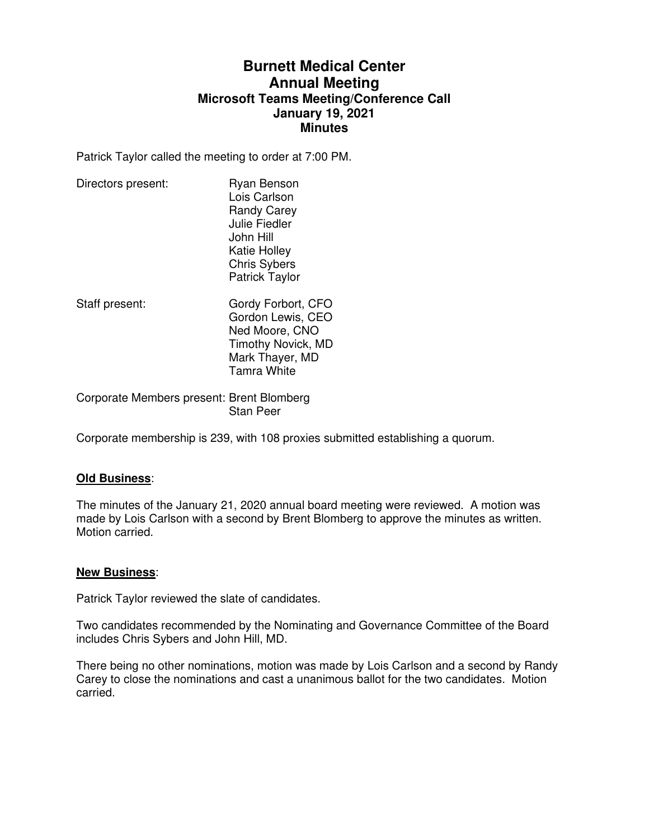# **Burnett Medical Center Annual Meeting Microsoft Teams Meeting/Conference Call January 19, 2021 Minutes**

Patrick Taylor called the meeting to order at 7:00 PM.

| Directors present: | Ryan Benson<br>Lois Carlson<br><b>Randy Carey</b><br><b>Julie Fiedler</b><br>John Hill<br><b>Katie Holley</b><br><b>Chris Sybers</b><br><b>Patrick Taylor</b> |
|--------------------|---------------------------------------------------------------------------------------------------------------------------------------------------------------|
| Staff present:     | Gordy Forbort, CFO<br>Gordon Lewis, CEO<br>Ned Moore, CNO<br><b>Timothy Novick, MD</b><br>Mark Thayer, MD<br><b>Tamra White</b>                               |

Corporate Members present: Brent Blomberg Stan Peer

Corporate membership is 239, with 108 proxies submitted establishing a quorum.

# **Old Business**:

The minutes of the January 21, 2020 annual board meeting were reviewed. A motion was made by Lois Carlson with a second by Brent Blomberg to approve the minutes as written. Motion carried.

## **New Business**:

Patrick Taylor reviewed the slate of candidates.

Two candidates recommended by the Nominating and Governance Committee of the Board includes Chris Sybers and John Hill, MD.

There being no other nominations, motion was made by Lois Carlson and a second by Randy Carey to close the nominations and cast a unanimous ballot for the two candidates. Motion carried.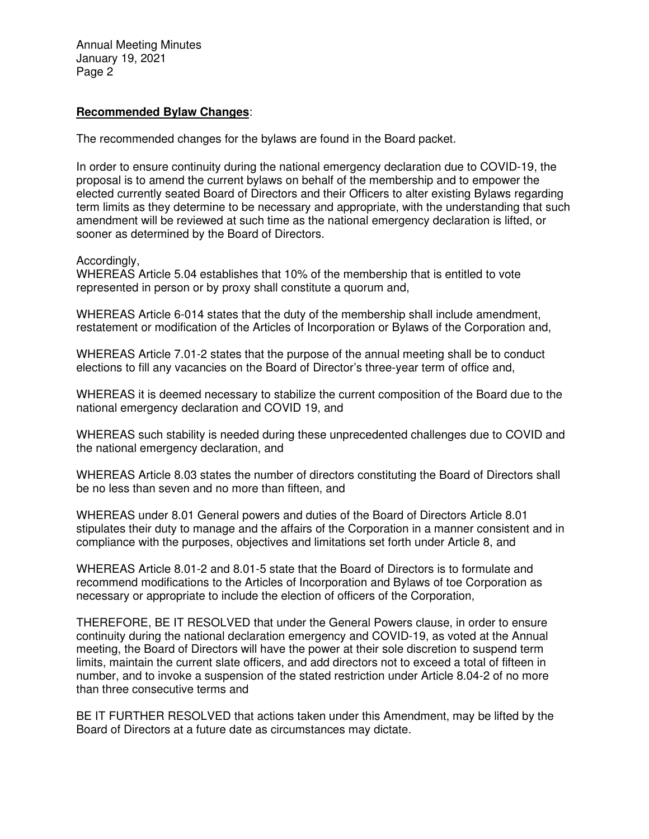Annual Meeting Minutes January 19, 2021 Page 2

## **Recommended Bylaw Changes**:

The recommended changes for the bylaws are found in the Board packet.

In order to ensure continuity during the national emergency declaration due to COVID-19, the proposal is to amend the current bylaws on behalf of the membership and to empower the elected currently seated Board of Directors and their Officers to alter existing Bylaws regarding term limits as they determine to be necessary and appropriate, with the understanding that such amendment will be reviewed at such time as the national emergency declaration is lifted, or sooner as determined by the Board of Directors.

## Accordingly,

WHEREAS Article 5.04 establishes that 10% of the membership that is entitled to vote represented in person or by proxy shall constitute a quorum and,

WHEREAS Article 6-014 states that the duty of the membership shall include amendment, restatement or modification of the Articles of Incorporation or Bylaws of the Corporation and,

WHEREAS Article 7.01-2 states that the purpose of the annual meeting shall be to conduct elections to fill any vacancies on the Board of Director's three-year term of office and,

WHEREAS it is deemed necessary to stabilize the current composition of the Board due to the national emergency declaration and COVID 19, and

WHEREAS such stability is needed during these unprecedented challenges due to COVID and the national emergency declaration, and

WHEREAS Article 8.03 states the number of directors constituting the Board of Directors shall be no less than seven and no more than fifteen, and

WHEREAS under 8.01 General powers and duties of the Board of Directors Article 8.01 stipulates their duty to manage and the affairs of the Corporation in a manner consistent and in compliance with the purposes, objectives and limitations set forth under Article 8, and

WHEREAS Article 8.01-2 and 8.01-5 state that the Board of Directors is to formulate and recommend modifications to the Articles of Incorporation and Bylaws of toe Corporation as necessary or appropriate to include the election of officers of the Corporation,

THEREFORE, BE IT RESOLVED that under the General Powers clause, in order to ensure continuity during the national declaration emergency and COVID-19, as voted at the Annual meeting, the Board of Directors will have the power at their sole discretion to suspend term limits, maintain the current slate officers, and add directors not to exceed a total of fifteen in number, and to invoke a suspension of the stated restriction under Article 8.04-2 of no more than three consecutive terms and

BE IT FURTHER RESOLVED that actions taken under this Amendment, may be lifted by the Board of Directors at a future date as circumstances may dictate.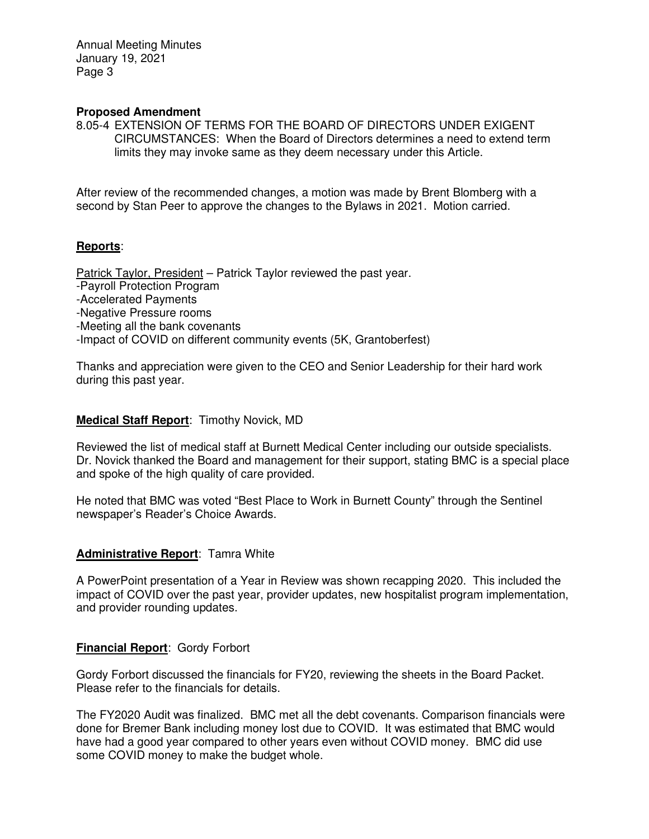Annual Meeting Minutes January 19, 2021 Page 3

## **Proposed Amendment**

8.05-4 EXTENSION OF TERMS FOR THE BOARD OF DIRECTORS UNDER EXIGENT CIRCUMSTANCES: When the Board of Directors determines a need to extend term limits they may invoke same as they deem necessary under this Article.

After review of the recommended changes, a motion was made by Brent Blomberg with a second by Stan Peer to approve the changes to the Bylaws in 2021. Motion carried.

## **Reports**:

Patrick Taylor, President – Patrick Taylor reviewed the past year.

- -Payroll Protection Program
- -Accelerated Payments
- -Negative Pressure rooms
- -Meeting all the bank covenants
- -Impact of COVID on different community events (5K, Grantoberfest)

Thanks and appreciation were given to the CEO and Senior Leadership for their hard work during this past year.

## **Medical Staff Report**: Timothy Novick, MD

Reviewed the list of medical staff at Burnett Medical Center including our outside specialists. Dr. Novick thanked the Board and management for their support, stating BMC is a special place and spoke of the high quality of care provided.

He noted that BMC was voted "Best Place to Work in Burnett County" through the Sentinel newspaper's Reader's Choice Awards.

## **Administrative Report**: Tamra White

A PowerPoint presentation of a Year in Review was shown recapping 2020. This included the impact of COVID over the past year, provider updates, new hospitalist program implementation, and provider rounding updates.

## **Financial Report**: Gordy Forbort

Gordy Forbort discussed the financials for FY20, reviewing the sheets in the Board Packet. Please refer to the financials for details.

The FY2020 Audit was finalized. BMC met all the debt covenants. Comparison financials were done for Bremer Bank including money lost due to COVID. It was estimated that BMC would have had a good year compared to other years even without COVID money. BMC did use some COVID money to make the budget whole.